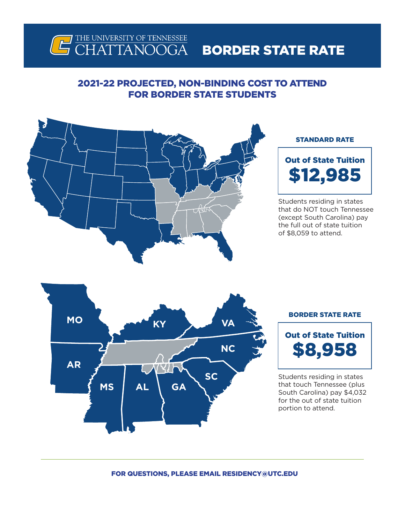

### 2021-22 PROJECTED, NON-BINDING COST TO ATTEND FOR BORDER STATE STUDENTS



### STANDARD RATE



Students residing in states that do NOT touch Tennessee (except South Carolina) pay the full out of state tuition of \$8,059 to attend.



#### BORDER STATE RATE



Students residing in states that touch Tennessee (plus South Carolina) pay \$4,032 for the out of state tuition portion to attend.